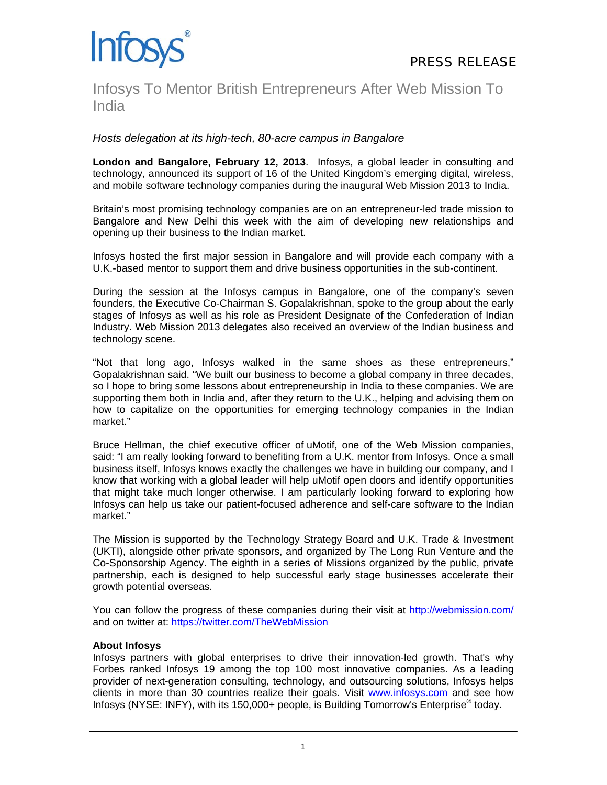

# Infosys To Mentor British Entrepreneurs After Web Mission To India

## *Hosts delegation at its high-tech, 80-acre campus in Bangalore*

**London and Bangalore, February 12, 2013**. Infosys, a global leader in consulting and technology, announced its support of 16 of the United Kingdom's emerging digital, wireless, and mobile software technology companies during the inaugural Web Mission 2013 to India.

Britain's most promising technology companies are on an entrepreneur-led trade mission to Bangalore and New Delhi this week with the aim of developing new relationships and opening up their business to the Indian market.

Infosys hosted the first major session in Bangalore and will provide each company with a U.K.-based mentor to support them and drive business opportunities in the sub-continent.

During the session at the Infosys campus in Bangalore, one of the company's seven founders, the Executive Co-Chairman S. Gopalakrishnan, spoke to the group about the early stages of Infosys as well as his role as President Designate of the Confederation of Indian Industry. Web Mission 2013 delegates also received an overview of the Indian business and technology scene.

"Not that long ago, Infosys walked in the same shoes as these entrepreneurs," Gopalakrishnan said. "We built our business to become a global company in three decades, so I hope to bring some lessons about entrepreneurship in India to these companies. We are supporting them both in India and, after they return to the U.K., helping and advising them on how to capitalize on the opportunities for emerging technology companies in the Indian market."

Bruce Hellman, the chief executive officer of uMotif, one of the Web Mission companies, said: "I am really looking forward to benefiting from a U.K. mentor from Infosys. Once a small business itself, Infosys knows exactly the challenges we have in building our company, and I know that working with a global leader will help uMotif open doors and identify opportunities that might take much longer otherwise. I am particularly looking forward to exploring how Infosys can help us take our patient-focused adherence and self-care software to the Indian market."

The Mission is supported by the Technology Strategy Board and U.K. Trade & Investment (UKTI), alongside other private sponsors, and organized by The Long Run Venture and the Co-Sponsorship Agency. The eighth in a series of Missions organized by the public, private partnership, each is designed to help successful early stage businesses accelerate their growth potential overseas.

You can follow the progress of these companies during their visit at http://webmission.com/ and on twitter at: https://twitter.com/TheWebMission

### **About Infosys**

Infosys partners with global enterprises to drive their innovation-led growth. That's why Forbes ranked Infosys 19 among the top 100 most innovative companies. As a leading provider of next-generation consulting, technology, and outsourcing solutions, Infosys helps clients in more than 30 countries realize their goals. Visit www.infosys.com and see how Infosys (NYSE: INFY), with its 150,000+ people, is Building Tomorrow's Enterprise® today.